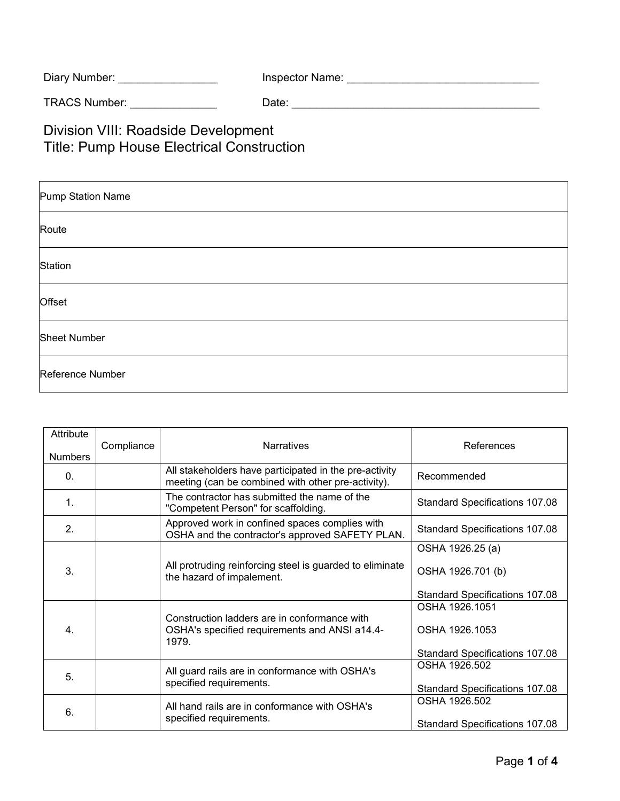| Inspector Name: |
|-----------------|
|                 |

TRACS Number: \_\_\_\_\_\_\_\_\_\_\_\_\_\_ Date: \_\_\_\_\_\_\_\_\_\_\_\_\_\_\_\_\_\_\_\_\_\_\_\_\_\_\_\_\_\_\_\_\_\_\_\_\_\_\_\_

Division VIII: Roadside Development Title: Pump House Electrical Construction

| Pump Station Name   |  |  |
|---------------------|--|--|
| Route               |  |  |
| Station             |  |  |
| Offset              |  |  |
| <b>Sheet Number</b> |  |  |
| Reference Number    |  |  |

| Attribute<br><b>Numbers</b> | Compliance | <b>Narratives</b>                                                                                            | References                            |
|-----------------------------|------------|--------------------------------------------------------------------------------------------------------------|---------------------------------------|
| $\mathbf{0}$ .              |            | All stakeholders have participated in the pre-activity<br>meeting (can be combined with other pre-activity). | Recommended                           |
| 1.                          |            | The contractor has submitted the name of the<br>"Competent Person" for scaffolding.                          | Standard Specifications 107.08        |
| 2 <sub>1</sub>              |            | Approved work in confined spaces complies with<br>OSHA and the contractor's approved SAFETY PLAN.            | Standard Specifications 107.08        |
|                             |            |                                                                                                              | OSHA 1926.25 (a)                      |
| 3.                          |            | All protruding reinforcing steel is guarded to eliminate<br>the hazard of impalement.                        | OSHA 1926.701 (b)                     |
|                             |            |                                                                                                              | Standard Specifications 107.08        |
|                             |            |                                                                                                              | OSHA 1926.1051                        |
| 4.                          |            | Construction ladders are in conformance with<br>OSHA's specified requirements and ANSI a14.4-<br>1979.       | OSHA 1926.1053                        |
|                             |            |                                                                                                              | Standard Specifications 107.08        |
| 5.                          |            | All guard rails are in conformance with OSHA's<br>specified requirements.                                    | OSHA 1926.502                         |
|                             |            |                                                                                                              | <b>Standard Specifications 107.08</b> |
| 6.                          |            | All hand rails are in conformance with OSHA's<br>specified requirements.                                     | OSHA 1926.502                         |
|                             |            |                                                                                                              | <b>Standard Specifications 107.08</b> |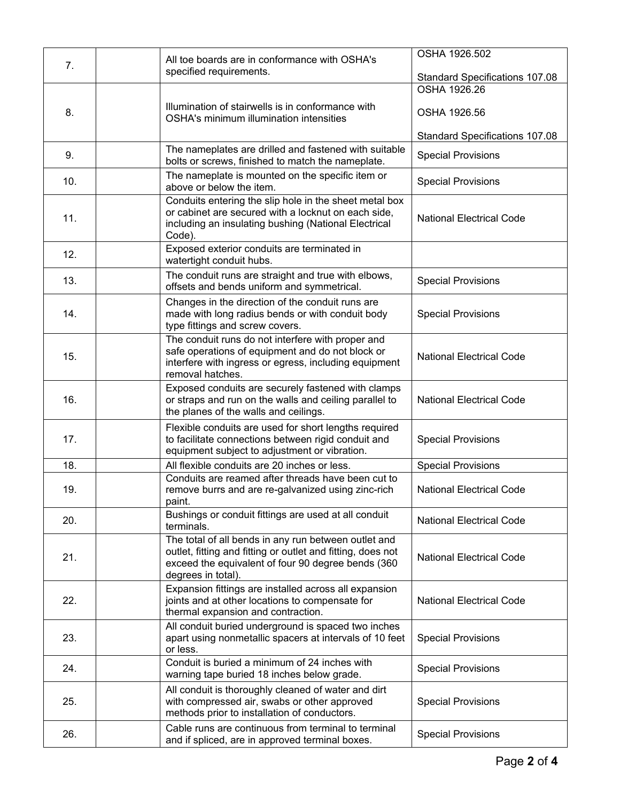| 7.  | All toe boards are in conformance with OSHA's<br>specified requirements.                                                                                                                        | OSHA 1926.502                                  |
|-----|-------------------------------------------------------------------------------------------------------------------------------------------------------------------------------------------------|------------------------------------------------|
|     |                                                                                                                                                                                                 | Standard Specifications 107.08<br>OSHA 1926.26 |
|     |                                                                                                                                                                                                 |                                                |
| 8.  | Illumination of stairwells is in conformance with<br><b>OSHA's minimum illumination intensities</b>                                                                                             | OSHA 1926.56                                   |
|     |                                                                                                                                                                                                 | <b>Standard Specifications 107.08</b>          |
| 9.  | The nameplates are drilled and fastened with suitable<br>bolts or screws, finished to match the nameplate.                                                                                      | <b>Special Provisions</b>                      |
| 10. | The nameplate is mounted on the specific item or<br>above or below the item.                                                                                                                    | <b>Special Provisions</b>                      |
| 11. | Conduits entering the slip hole in the sheet metal box<br>or cabinet are secured with a locknut on each side,<br>including an insulating bushing (National Electrical<br>Code).                 | <b>National Electrical Code</b>                |
| 12. | Exposed exterior conduits are terminated in<br>watertight conduit hubs.                                                                                                                         |                                                |
| 13. | The conduit runs are straight and true with elbows,<br>offsets and bends uniform and symmetrical.                                                                                               | <b>Special Provisions</b>                      |
| 14. | Changes in the direction of the conduit runs are<br>made with long radius bends or with conduit body<br>type fittings and screw covers.                                                         | <b>Special Provisions</b>                      |
| 15. | The conduit runs do not interfere with proper and<br>safe operations of equipment and do not block or<br>interfere with ingress or egress, including equipment<br>removal hatches.              | <b>National Electrical Code</b>                |
| 16. | Exposed conduits are securely fastened with clamps<br>or straps and run on the walls and ceiling parallel to<br>the planes of the walls and ceilings.                                           | <b>National Electrical Code</b>                |
| 17. | Flexible conduits are used for short lengths required<br>to facilitate connections between rigid conduit and<br>equipment subject to adjustment or vibration.                                   | <b>Special Provisions</b>                      |
| 18. | All flexible conduits are 20 inches or less.                                                                                                                                                    | <b>Special Provisions</b>                      |
| 19. | Conduits are reamed after threads have been cut to<br>remove burrs and are re-galvanized using zinc-rich<br>paint.                                                                              | <b>National Electrical Code</b>                |
| 20. | Bushings or conduit fittings are used at all conduit<br>terminals.                                                                                                                              | <b>National Electrical Code</b>                |
| 21. | The total of all bends in any run between outlet and<br>outlet, fitting and fitting or outlet and fitting, does not<br>exceed the equivalent of four 90 degree bends (360<br>degrees in total). | <b>National Electrical Code</b>                |
| 22. | Expansion fittings are installed across all expansion<br>joints and at other locations to compensate for<br>thermal expansion and contraction.                                                  | <b>National Electrical Code</b>                |
| 23. | All conduit buried underground is spaced two inches<br>apart using nonmetallic spacers at intervals of 10 feet<br>or less.                                                                      | <b>Special Provisions</b>                      |
| 24. | Conduit is buried a minimum of 24 inches with<br>warning tape buried 18 inches below grade.                                                                                                     | <b>Special Provisions</b>                      |
| 25. | All conduit is thoroughly cleaned of water and dirt<br>with compressed air, swabs or other approved<br>methods prior to installation of conductors.                                             | <b>Special Provisions</b>                      |
| 26. | Cable runs are continuous from terminal to terminal<br>and if spliced, are in approved terminal boxes.                                                                                          | <b>Special Provisions</b>                      |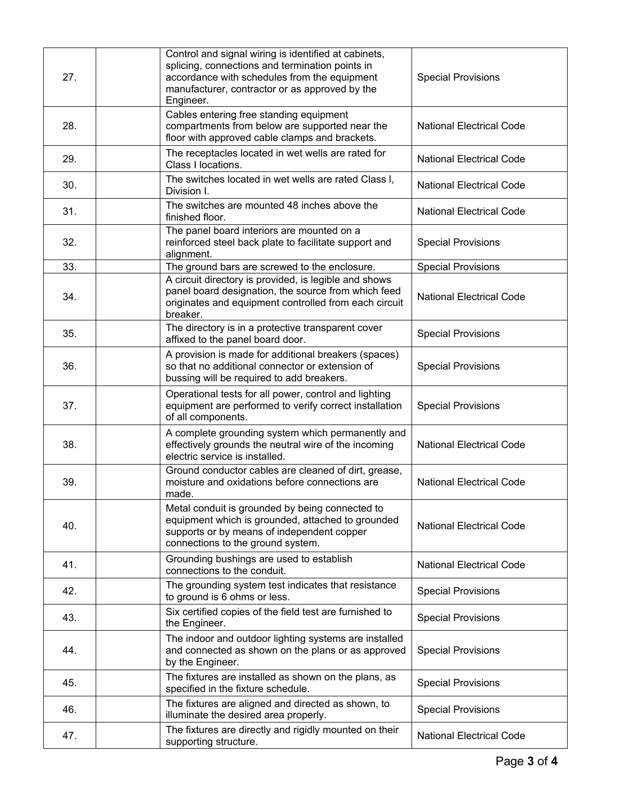| 27. | Control and signal wiring is identified at cabinets,<br>splicing, connections and termination points in<br>accordance with schedules from the equipment<br>manufacturer, contractor or as approved by the<br>Engineer. | <b>Special Provisions</b>       |
|-----|------------------------------------------------------------------------------------------------------------------------------------------------------------------------------------------------------------------------|---------------------------------|
| 28. | Cables entering free standing equipment<br>compartments from below are supported near the<br>floor with approved cable clamps and brackets.                                                                            | <b>National Electrical Code</b> |
| 29. | The receptacles located in wet wells are rated for<br>Class I locations.                                                                                                                                               | <b>National Electrical Code</b> |
| 30. | The switches located in wet wells are rated Class I,<br>Division I.                                                                                                                                                    | <b>National Electrical Code</b> |
| 31. | The switches are mounted 48 inches above the<br>finished floor.                                                                                                                                                        | <b>National Electrical Code</b> |
| 32. | The panel board interiors are mounted on a<br>reinforced steel back plate to facilitate support and<br>alignment.                                                                                                      | <b>Special Provisions</b>       |
| 33. | The ground bars are screwed to the enclosure.                                                                                                                                                                          | <b>Special Provisions</b>       |
| 34. | A circuit directory is provided, is legible and shows<br>panel board designation, the source from which feed<br>originates and equipment controlled from each circuit<br>breaker.                                      | <b>National Electrical Code</b> |
| 35. | The directory is in a protective transparent cover<br>affixed to the panel board door.                                                                                                                                 | <b>Special Provisions</b>       |
| 36. | A provision is made for additional breakers (spaces)<br>so that no additional connector or extension of<br>bussing will be required to add breakers.                                                                   | <b>Special Provisions</b>       |
| 37. | Operational tests for all power, control and lighting<br>equipment are performed to verify correct installation<br>of all components.                                                                                  | <b>Special Provisions</b>       |
| 38. | A complete grounding system which permanently and<br>effectively grounds the neutral wire of the incoming<br>electric service is installed.                                                                            | <b>National Electrical Code</b> |
| 39. | Ground conductor cables are cleaned of dirt, grease,<br>moisture and oxidations before connections are<br>made.                                                                                                        | <b>National Electrical Code</b> |
| 40. | Metal conduit is grounded by being connected to<br>equipment which is grounded, attached to grounded<br>supports or by means of independent copper<br>connections to the ground system.                                | <b>National Electrical Code</b> |
| 41. | Grounding bushings are used to establish<br>connections to the conduit.                                                                                                                                                | <b>National Electrical Code</b> |
| 42. | The grounding system test indicates that resistance<br>to ground is 6 ohms or less.                                                                                                                                    | <b>Special Provisions</b>       |
| 43. | Six certified copies of the field test are furnished to<br>the Engineer.                                                                                                                                               | <b>Special Provisions</b>       |
| 44. | The indoor and outdoor lighting systems are installed<br>and connected as shown on the plans or as approved<br>by the Engineer.                                                                                        | <b>Special Provisions</b>       |
| 45. | The fixtures are installed as shown on the plans, as<br>specified in the fixture schedule.                                                                                                                             | <b>Special Provisions</b>       |
| 46. | The fixtures are aligned and directed as shown, to<br>illuminate the desired area properly.                                                                                                                            | <b>Special Provisions</b>       |
| 47. | The fixtures are directly and rigidly mounted on their<br>supporting structure.                                                                                                                                        | <b>National Electrical Code</b> |